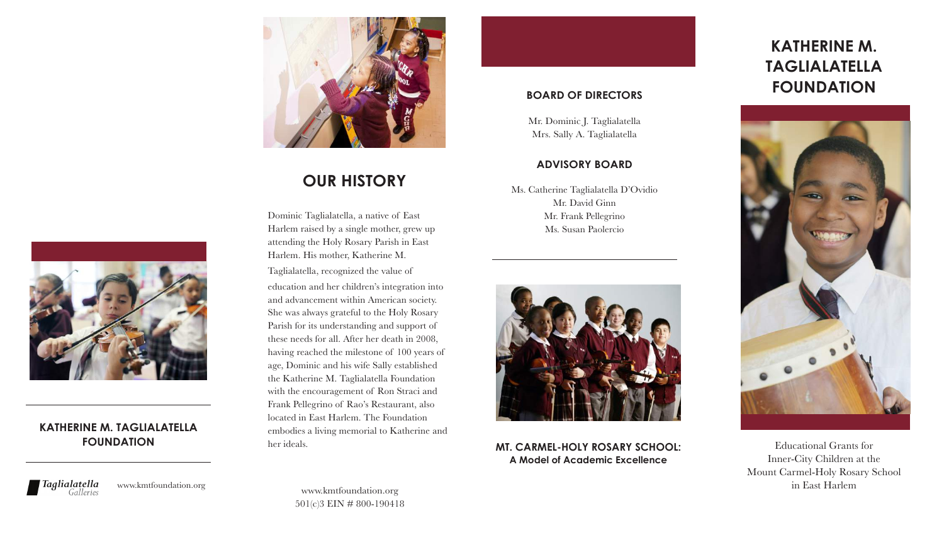

# **OUR HISTORY**

Dominic Taglialatella, a native of East Harlem raised by a single mother, grew up attending the Holy Rosary Parish in East Harlem. His mother, Katherine M.

Taglialatella, recognized the value of education and her children's integration into and advancement within American society. She was always grateful to the Holy Rosary Parish for its understanding and support of these needs for all. After her death in 2008, having reached the milestone of 100 years of age, Dominic and his wife Sally established the Katherine M. Taglialatella Foundation with the encouragement of Ron Straci and Frank Pellegrino of Rao's Restaurant, also located in East Harlem. The Foundation embodies a living memorial to Katherine and her ideals.

## **BOARD OF DIRECTORS**

Mr. Dominic J. Taglialatella Mrs. Sally A. Taglialatella

#### **ADVISORY BOARD**

Ms. Catherine Taglialatella D'Ovidio Mr. David Ginn Mr. Frank Pellegrino Ms. Susan Paolercio



**MT. CARMEL-HOLY ROSARY SCHOOL: A Model of Academic Excellence**

# **KATHERINE M. TAGLIALATELLA FOUNDATION**



Educational Grants for Inner-City Children at the Mount Carmel-Holy Rosary School in East Harlem



### **KATHERINE M. TAGLIALATELLA FOUNDATION**



www.kmtfoundation.org

www.kmtfoundation.org 501(c)3 EIN # 800-190418